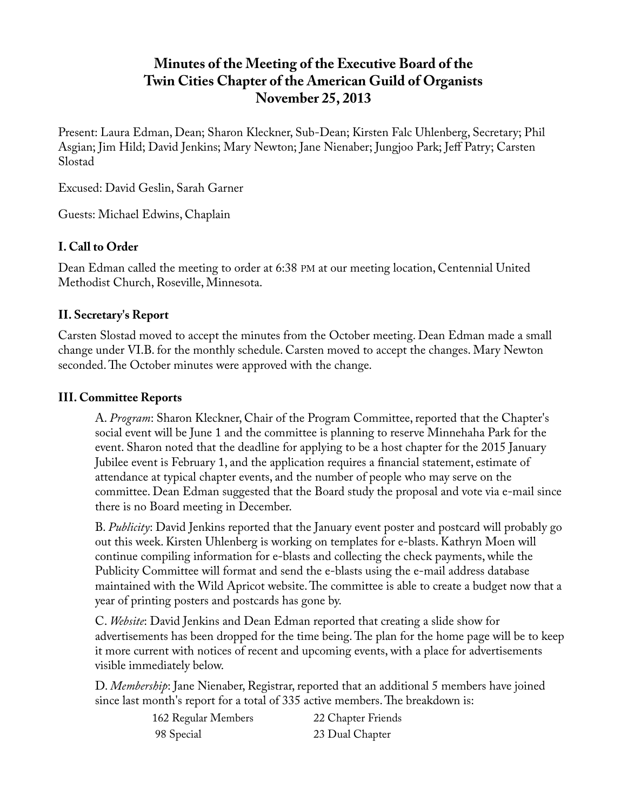# **Minutes of the Meeting of the Executive Board of the Twin Cities Chapter of the American Guild of Organists November 25, 2013**

Present: Laura Edman, Dean; Sharon Kleckner, Sub-Dean; Kirsten Falc Uhlenberg, Secretary; Phil Asgian; Jim Hild; David Jenkins; Mary Newton; Jane Nienaber; Jungjoo Park; Jeff Patry; Carsten Slostad

Excused: David Geslin, Sarah Garner

Guests: Michael Edwins, Chaplain

## **I. Call to Order**

Dean Edman called the meeting to order at 6:38 PM at our meeting location, Centennial United Methodist Church, Roseville, Minnesota.

### **II. Secretary's Report**

Carsten Slostad moved to accept the minutes from the October meeting. Dean Edman made a small change under VI.B. for the monthly schedule. Carsten moved to accept the changes. Mary Newton seconded. The October minutes were approved with the change.

### **III. Committee Reports**

A. *Program*: Sharon Kleckner, Chair of the Program Committee, reported that the Chapter's social event will be June 1 and the committee is planning to reserve Minnehaha Park for the event. Sharon noted that the deadline for applying to be a host chapter for the 2015 January Jubilee event is February 1, and the application requires a financial statement, estimate of attendance at typical chapter events, and the number of people who may serve on the committee. Dean Edman suggested that the Board study the proposal and vote via e-mail since there is no Board meeting in December.

B. *Publicity*: David Jenkins reported that the January event poster and postcard will probably go out this week. Kirsten Uhlenberg is working on templates for e-blasts. Kathryn Moen will continue compiling information for e-blasts and collecting the check payments, while the Publicity Committee will format and send the e-blasts using the e-mail address database maintained with the Wild Apricot website. The committee is able to create a budget now that a year of printing posters and postcards has gone by.

C. *Website*: David Jenkins and Dean Edman reported that creating a slide show for advertisements has been dropped for the time being. The plan for the home page will be to keep it more current with notices of recent and upcoming events, with a place for advertisements visible immediately below.

D. *Membership*: Jane Nienaber, Registrar, reported that an additional 5 members have joined since last month's report for a total of 335 active members. The breakdown is:

| 162 Regular Members | 22 Chapter Friends |
|---------------------|--------------------|
| 98 Special          | 23 Dual Chapter    |